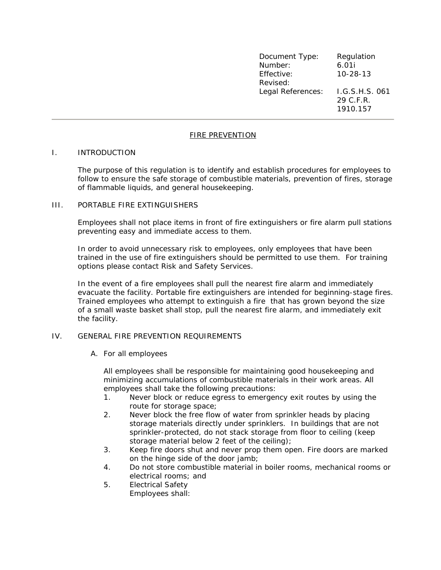| Document Type:    | Regulation                              |
|-------------------|-----------------------------------------|
| Number:           | 6.01i                                   |
| Effective:        | $10 - 28 - 13$                          |
| Revised:          |                                         |
| Legal References: | I.G.S.H.S. 061<br>29 C.F.R.<br>1910.157 |

### FIRE PREVENTION

#### I. INTRODUCTION

The purpose of this regulation is to identify and establish procedures for employees to follow to ensure the safe storage of combustible materials, prevention of fires, storage of flammable liquids, and general housekeeping.

#### III. PORTABLE FIRE EXTINGUISHERS

Employees shall not place items in front of fire extinguishers or fire alarm pull stations preventing easy and immediate access to them.

In order to avoid unnecessary risk to employees, only employees that have been trained in the use of fire extinguishers should be permitted to use them. For training options please contact Risk and Safety Services.

In the event of a fire employees shall pull the nearest fire alarm and immediately evacuate the facility. Portable fire extinguishers are intended for beginning-stage fires. Trained employees who attempt to extinguish a fire that has grown beyond the size of a small waste basket shall stop, pull the nearest fire alarm, and immediately exit the facility.

# IV. GENERAL FIRE PREVENTION REQUIREMENTS

A. For all employees

All employees shall be responsible for maintaining good housekeeping and minimizing accumulations of combustible materials in their work areas. All employees shall take the following precautions:

- 1. Never block or reduce egress to emergency exit routes by using the route for storage space;
- 2. Never block the free flow of water from sprinkler heads by placing storage materials directly under sprinklers. In buildings that are not sprinkler-protected, do not stack storage from floor to ceiling (keep storage material below 2 feet of the ceiling);
- 3. Keep fire doors shut and never prop them open. Fire doors are marked on the hinge side of the door jamb;
- 4. Do not store combustible material in boiler rooms, mechanical rooms or electrical rooms; and
- 5. *Electrical Safety* Employees shall: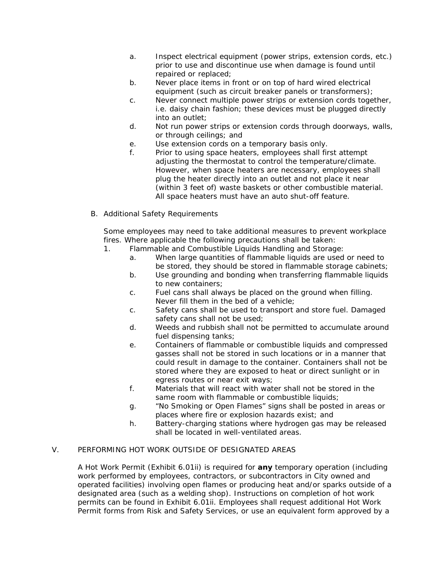- a. Inspect electrical equipment (power strips, extension cords, etc.) prior to use and discontinue use when damage is found until repaired or replaced;
- b. Never place items in front or on top of hard wired electrical equipment (such as circuit breaker panels or transformers);
- c. Never connect multiple power strips or extension cords together, i.e. daisy chain fashion; these devices must be plugged directly into an outlet;
- d. Not run power strips or extension cords through doorways, walls, or through ceilings; and
- e. Use extension cords on a temporary basis only.
- f. Prior to using space heaters, employees shall first attempt adjusting the thermostat to control the temperature/climate. However, when space heaters are necessary, employees shall plug the heater directly into an outlet and not place it near (within 3 feet of) waste baskets or other combustible material. All space heaters must have an auto shut-off feature.
- B. Additional Safety Requirements

Some employees may need to take additional measures to prevent workplace fires. Where applicable the following precautions shall be taken:

- 1. Flammable and Combustible Liquids Handling and Storage:
	- a. When large quantities of flammable liquids are used or need to be stored, they should be stored in flammable storage cabinets;
	- b. Use grounding and bonding when transferring flammable liquids to new containers;
	- c. Fuel cans shall always be placed on the ground when filling. Never fill them in the bed of a vehicle;
	- c. Safety cans shall be used to transport and store fuel. Damaged safety cans shall not be used;
	- d. Weeds and rubbish shall not be permitted to accumulate around fuel dispensing tanks;
	- e. Containers of flammable or combustible liquids and compressed gasses shall not be stored in such locations or in a manner that could result in damage to the container. Containers shall not be stored where they are exposed to heat or direct sunlight or in egress routes or near exit ways;
	- f. Materials that will react with water shall not be stored in the same room with flammable or combustible liquids;
	- g. "No Smoking or Open Flames" signs shall be posted in areas or places where fire or explosion hazards exist; and
	- h. Battery-charging stations where hydrogen gas may be released shall be located in well-ventilated areas.

# V. PERFORMING HOT WORK OUTSIDE OF DESIGNATED AREAS

A Hot Work Permit (Exhibit 6.01ii) is required for *any* temporary operation (including work performed by employees, contractors, or subcontractors in City owned and operated facilities) involving open flames or producing heat and/or sparks outside of a designated area (such as a welding shop). Instructions on completion of hot work permits can be found in Exhibit 6.01ii. Employees shall request additional Hot Work Permit forms from Risk and Safety Services, or use an equivalent form approved by a